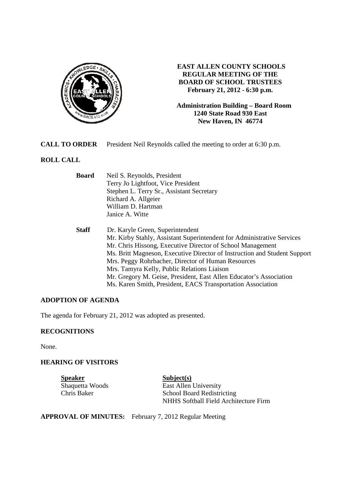

## **EAST ALLEN COUNTY SCHOOLS REGULAR MEETING OF THE BOARD OF SCHOOL TRUSTEES February 21, 2012 - 6:30 p.m.**

**Administration Building – Board Room 1240 State Road 930 East New Haven, IN 46774**

**CALL TO ORDER** President Neil Reynolds called the meeting to order at 6:30 p.m.

## **ROLL CALL**

| <b>Board</b> | Neil S. Reynolds, President                                               |
|--------------|---------------------------------------------------------------------------|
|              | Terry Jo Lightfoot, Vice President                                        |
|              | Stephen L. Terry Sr., Assistant Secretary                                 |
|              | Richard A. Allgeier                                                       |
|              | William D. Hartman                                                        |
|              | Janice A. Witte                                                           |
| <b>Staff</b> | Dr. Karyle Green, Superintendent                                          |
|              | Mr. Kirby Stahly, Assistant Superintendent for Administrative Services    |
|              | Mr. Chris Hissong, Executive Director of School Management                |
|              | Ms. Britt Magneson, Executive Director of Instruction and Student Support |
|              | Mrs. Peggy Rohrbacher, Director of Human Resources                        |
|              | Mrs. Tamyra Kelly, Public Relations Liaison                               |
|              | Mr. Gregory M. Geise, President, East Allen Educator's Association        |
|              | Ms. Karen Smith, President, EACS Transportation Association               |

#### **ADOPTION OF AGENDA**

The agenda for February 21, 2012 was adopted as presented.

#### **RECOGNITIONS**

None.

## **HEARING OF VISITORS**

**Speaker**<br>
Shaquetta Woods<br>
East Allen

Shaquetta Woods<br>
East Allen University<br>
Chris Baker<br>
School Board Redistri School Board Redistricting NHHS Softball Field Architecture Firm

#### **APPROVAL OF MINUTES:** February 7, 2012 Regular Meeting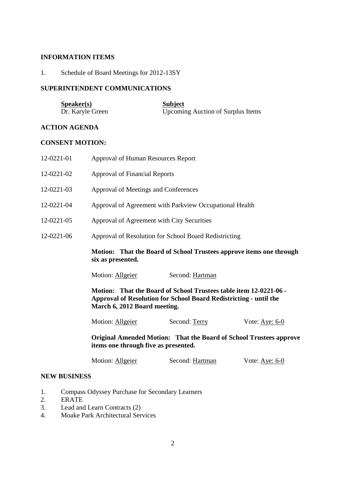## **INFORMATION ITEMS**

1. Schedule of Board Meetings for 2012-13SY

## **SUPERINTENDENT COMMUNICATIONS**

| S <sub>p</sub> e <sub>aker(s)</sub> | <b>Subject</b>                           |
|-------------------------------------|------------------------------------------|
| Dr. Karyle Green                    | <b>Upcoming Auction of Surplus Items</b> |

## **ACTION AGENDA**

## **CONSENT MOTION:**

| 12-0221-01 | <b>Approval of Human Resources Report</b>                                                                                                                              |                 |                                     |
|------------|------------------------------------------------------------------------------------------------------------------------------------------------------------------------|-----------------|-------------------------------------|
| 12-0221-02 | <b>Approval of Financial Reports</b>                                                                                                                                   |                 |                                     |
| 12-0221-03 | Approval of Meetings and Conferences                                                                                                                                   |                 |                                     |
| 12-0221-04 | Approval of Agreement with Parkview Occupational Health                                                                                                                |                 |                                     |
| 12-0221-05 | Approval of Agreement with City Securities                                                                                                                             |                 |                                     |
| 12-0221-06 | Approval of Resolution for School Board Redistricting                                                                                                                  |                 |                                     |
|            | Motion: That the Board of School Trustees approve items one through<br>six as presented.                                                                               |                 |                                     |
|            | Motion: Allgeier                                                                                                                                                       | Second: Hartman |                                     |
|            | Motion: That the Board of School Trustees table item 12-0221-06 -<br>Approval of Resolution for School Board Redistricting - until the<br>March 6, 2012 Board meeting. |                 |                                     |
|            | Motion: Allgeier                                                                                                                                                       | Second: Terry   | Vote: $\underline{\text{Aye: 6-0}}$ |

 **Original Amended Motion: That the Board of School Trustees approve items one through five as presented.** 

| Motion: Allgeier | Second: Hartman | Vote: Aye: $6-0$ |
|------------------|-----------------|------------------|
|------------------|-----------------|------------------|

#### **NEW BUSINESS**

- 1. Compass Odyssey Purchase for Secondary Learners<br>2. ERATE
- **ERATE**
- 3. Lead and Learn Contracts (2)
- 4. Moake Park Architectural Services